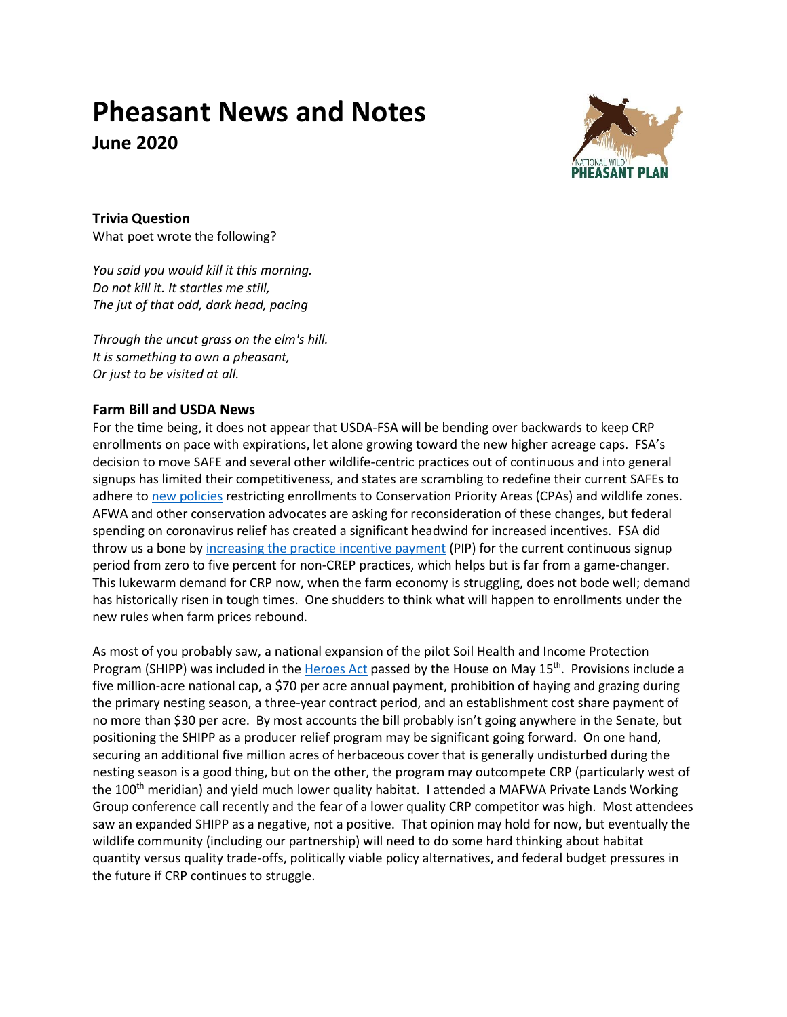# **Pheasant News and Notes June 2020**



**Trivia Question** What poet wrote the following?

*You said you would kill it this morning. Do not kill it. It startles me still, The jut of that odd, dark head, pacing*

*Through the uncut grass on the elm's hill. It is something to own a pheasant, Or just to be visited at all.*

# **Farm Bill and USDA News**

For the time being, it does not appear that USDA-FSA will be bending over backwards to keep CRP enrollments on pace with expirations, let alone growing toward the new higher acreage caps. FSA's decision to move SAFE and several other wildlife-centric practices out of continuous and into general signups has limited their competitiveness, and states are scrambling to redefine their current SAFEs to adhere to new [policies](https://www.fsa.usda.gov/Internet/FSA_Notice/crp_895.pdf?utm_medium=email&utm_source=govdelivery) restricting enrollments to Conservation Priority Areas (CPAs) and wildlife zones. AFWA and other conservation advocates are asking for reconsideration of these changes, but federal spending on coronavirus relief has created a significant headwind for increased incentives. FSA did throw us a bone by [increasing the practice incentive payment](https://www.fsa.usda.gov/Internet/FSA_Notice/crp_899.pdf?utm_medium=email&utm_source=govdelivery) (PIP) for the current continuous signup period from zero to five percent for non-CREP practices, which helps but is far from a game-changer. This lukewarm demand for CRP now, when the farm economy is struggling, does not bode well; demand has historically risen in tough times. One shudders to think what will happen to enrollments under the new rules when farm prices rebound.

As most of you probably saw, a national expansion of the pilot Soil Health and Income Protection Program (SHIPP) was included in the [Heroes](https://www.congress.gov/bill/116th-congress/house-bill/6800/text) Act passed by the House on May 15<sup>th</sup>. Provisions include a five million-acre national cap, a \$70 per acre annual payment, prohibition of haying and grazing during the primary nesting season, a three-year contract period, and an establishment cost share payment of no more than \$30 per acre. By most accounts the bill probably isn't going anywhere in the Senate, but positioning the SHIPP as a producer relief program may be significant going forward. On one hand, securing an additional five million acres of herbaceous cover that is generally undisturbed during the nesting season is a good thing, but on the other, the program may outcompete CRP (particularly west of the 100<sup>th</sup> meridian) and yield much lower quality habitat. I attended a MAFWA Private Lands Working Group conference call recently and the fear of a lower quality CRP competitor was high. Most attendees saw an expanded SHIPP as a negative, not a positive. That opinion may hold for now, but eventually the wildlife community (including our partnership) will need to do some hard thinking about habitat quantity versus quality trade-offs, politically viable policy alternatives, and federal budget pressures in the future if CRP continues to struggle.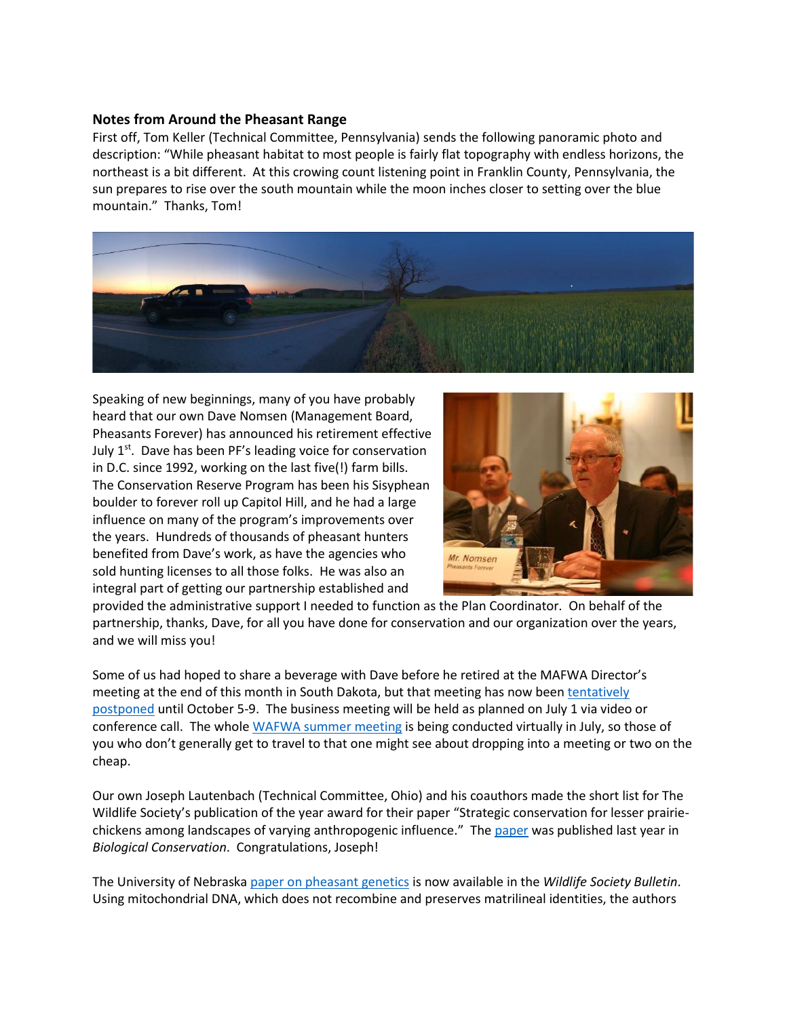### **Notes from Around the Pheasant Range**

First off, Tom Keller (Technical Committee, Pennsylvania) sends the following panoramic photo and description: "While pheasant habitat to most people is fairly flat topography with endless horizons, the northeast is a bit different. At this crowing count listening point in Franklin County, Pennsylvania, the sun prepares to rise over the south mountain while the moon inches closer to setting over the blue mountain." Thanks, Tom!



Speaking of new beginnings, many of you have probably heard that our own Dave Nomsen (Management Board, Pheasants Forever) has announced his retirement effective July 1<sup>st</sup>. Dave has been PF's leading voice for conservation in D.C. since 1992, working on the last five(!) farm bills. The Conservation Reserve Program has been his Sisyphean boulder to forever roll up Capitol Hill, and he had a large influence on many of the program's improvements over the years. Hundreds of thousands of pheasant hunters benefited from Dave's work, as have the agencies who sold hunting licenses to all those folks. He was also an integral part of getting our partnership established and



provided the administrative support I needed to function as the Plan Coordinator. On behalf of the partnership, thanks, Dave, for all you have done for conservation and our organization over the years, and we will miss you!

Some of us had hoped to share a beverage with Dave before he retired at the MAFWA Director's meeting at the end of this month in South Dakota, but that meeting has now been tentatively [postponed](https://www.mafwa.org/?page_id=459) until October 5-9. The business meeting will be held as planned on July 1 via video or conference call. The whol[e WAFWA summer meeting](https://www.wafwa.org/events/summer_meeting/) is being conducted virtually in July, so those of you who don't generally get to travel to that one might see about dropping into a meeting or two on the cheap.

Our own Joseph Lautenbach (Technical Committee, Ohio) and his coauthors made the short list for The Wildlife Society's publication of the year award for their paper "Strategic conservation for lesser prairiechickens among landscapes of varying anthropogenic influence." The [paper](https://www.sciencedirect.com/science/article/abs/pii/S0006320719302691) was published last year in *Biological Conservation*. Congratulations, Joseph!

The University of Nebraska [paper on pheasant genetics](https://doi.org/10.1002/wsb.1095) is now available in the *Wildlife Society Bulletin*. Using mitochondrial DNA, which does not recombine and preserves matrilineal identities, the authors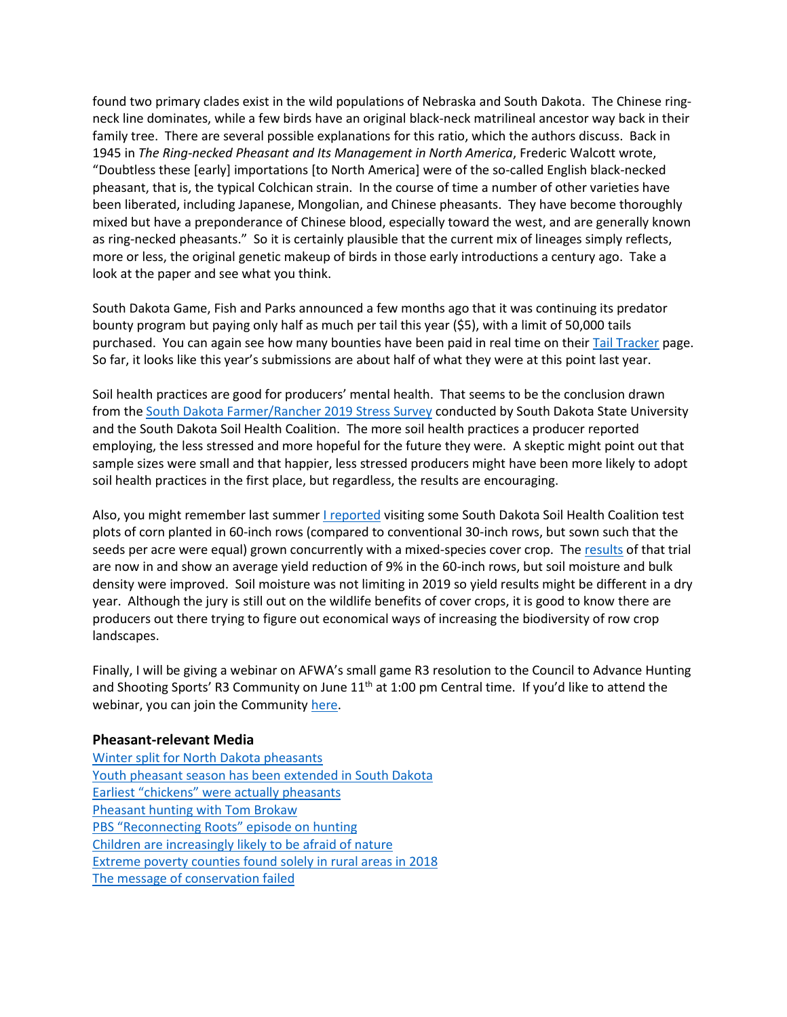found two primary clades exist in the wild populations of Nebraska and South Dakota. The Chinese ringneck line dominates, while a few birds have an original black-neck matrilineal ancestor way back in their family tree. There are several possible explanations for this ratio, which the authors discuss. Back in 1945 in *The Ring-necked Pheasant and Its Management in North America*, Frederic Walcott wrote, "Doubtless these [early] importations [to North America] were of the so-called English black-necked pheasant, that is, the typical Colchican strain. In the course of time a number of other varieties have been liberated, including Japanese, Mongolian, and Chinese pheasants. They have become thoroughly mixed but have a preponderance of Chinese blood, especially toward the west, and are generally known as ring-necked pheasants." So it is certainly plausible that the current mix of lineages simply reflects, more or less, the original genetic makeup of birds in those early introductions a century ago. Take a look at the paper and see what you think.

South Dakota Game, Fish and Parks announced a few months ago that it was continuing its predator bounty program but paying only half as much per tail this year (\$5), with a limit of 50,000 tails purchased. You can again see how many bounties have been paid in real time on their **Tail Tracker** page. So far, it looks like this year's submissions are about half of what they were at this point last year.

Soil health practices are good for producers' mental health. That seems to be the conclusion drawn from th[e South Dakota Farmer/Rancher 2019 Stress Survey](https://sdsoilhealthcoalition.org/farmer-rancher-stress-survey-results/) conducted by South Dakota State University and the South Dakota Soil Health Coalition. The more soil health practices a producer reported employing, the less stressed and more hopeful for the future they were. A skeptic might point out that sample sizes were small and that happier, less stressed producers might have been more likely to adopt soil health practices in the first place, but regardless, the results are encouraging.

Also, you might remember last summer [I reported](http://nationalpheasantplan.org/wp-content/uploads/2019/08/Pheasant-news-and-notes-Aug-19.pdf) visiting some South Dakota Soil Health Coalition test plots of corn planted in 60-inch rows (compared to conventional 30-inch rows, but sown such that the seeds per acre were equal) grown concurrently with a mixed-species cover crop. The [results](https://sdsoilhealthcoalition.org/wp-content/uploads/2020/04/2019-60-Inch-Corn-Longer-Report-Document-3_23_20.pdf) of that trial are now in and show an average yield reduction of 9% in the 60-inch rows, but soil moisture and bulk density were improved. Soil moisture was not limiting in 2019 so yield results might be different in a dry year. Although the jury is still out on the wildlife benefits of cover crops, it is good to know there are producers out there trying to figure out economical ways of increasing the biodiversity of row crop landscapes.

Finally, I will be giving a webinar on AFWA's small game R3 resolution to the Council to Advance Hunting and Shooting Sports' R3 Community on June 11<sup>th</sup> at 1:00 pm Central time. If you'd like to attend the webinar, you can join the Community [here.](https://cahss.org/national-r3-community/)

#### **Pheasant-relevant Media**

[Winter split for North Dakota pheasants](https://www.newsdakota.com/2020/05/08/dakota-uplander-winter-split-for-nd-pheasants/) [Youth pheasant season has been extended in South Dakota](https://www.kotatv.com/content/news/GFP-Youth-pheasant-season-has-been-extended-in-South-Dakota-570479351.html) [Earliest "chickens" were actually pheasants](https://www.scientificamerican.com/article/earliest-chickens-were-actually-pheasants/) [Pheasant hunting with Tom Brokaw](https://www.forbes.com/sites/chrisdorsey/2020/05/21/pheasant-hunting-with-tom-brokaw/#266b577b6d8c) [PBS "Reconnecting Roots" episode on hunting](https://www.pbs.org/video/hunting-field-to-fork-vjrpvq/?fbclid=IwAR2FBHBY0jQj9iDxWXZPi6ucpPl4fEKOQSGbzXaxEtC4mL_K48lNpFaRONw) [Children are increasingly likely to be afraid of nature](https://www.journals.elsevier.com/biological-conservation/news/children-are-increasingly-likely-to-be-afraid-of-nature) [Extreme poverty counties found solely in rural areas in 2018](https://www.ers.usda.gov/amber-waves/2020/may/extreme-poverty-counties-found-solely-in-rural-areas-in-2018/) [The message of conservation failed](https://northwoodscollective.com/the-message-of-conservation-failed/?fbclid=IwAR2cUIzAbctQM9PhwCMfXPjVChj1bAQtWIji_eOZwD7CKe5u5EY5R4RueBw)